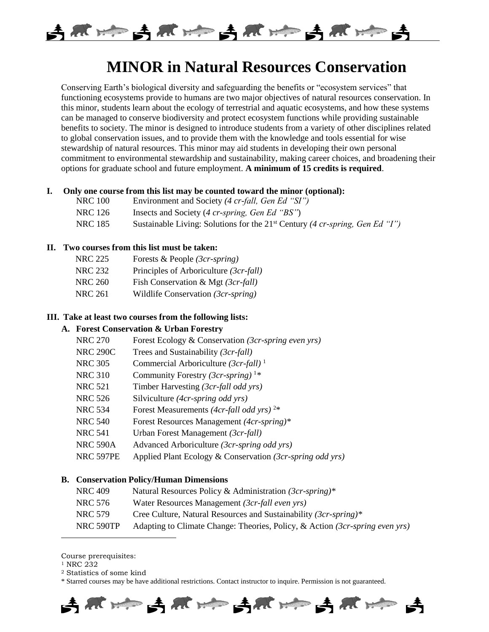

# **MINOR in Natural Resources Conservation**

Conserving Earth's biological diversity and safeguarding the benefits or "ecosystem services" that functioning ecosystems provide to humans are two major objectives of natural resources conservation. In this minor, students learn about the ecology of terrestrial and aquatic ecosystems, and how these systems can be managed to conserve biodiversity and protect ecosystem functions while providing sustainable benefits to society. The minor is designed to introduce students from a variety of other disciplines related to global conservation issues, and to provide them with the knowledge and tools essential for wise stewardship of natural resources. This minor may aid students in developing their own personal commitment to environmental stewardship and sustainability, making career choices, and broadening their options for graduate school and future employment. **A minimum of 15 credits is required**.

#### **I. Only one course from this list may be counted toward the minor (optional):**

- NRC 100 Environment and Society *(4 cr-fall, Gen Ed "SI")*
- NRC 126 Insects and Society (4 cr-spring, Gen Ed "BS")
- NRC 185 Sustainable Living: Solutions for the 21st Century *(4 cr-spring, Gen Ed "I")*

### **II. Two courses from this list must be taken:**

- NRC 225 Forests & People *(3cr-spring)*
- NRC 232 Principles of Arboriculture *(3cr-fall)*
- NRC 260 Fish Conservation & Mgt *(3cr-fall)*
- NRC 261 Wildlife Conservation *(3cr-spring)*

## **III. Take at least two courses from the following lists:**

# **A. Forest Conservation & Urban Forestry**

- NRC 270 Forest Ecology & Conservation *(3cr-spring even yrs)*
- NRC 290C Trees and Sustainability *(3cr-fall)*
- NRC 305 Commercial Arboriculture *(3cr-fall)* <sup>1</sup>
- NRC 310 Community Forestry *(3cr-spring)* <sup>1</sup>*\**
- NRC 521 Timber Harvesting *(3cr-fall odd yrs)*
- NRC 526 Silviculture *(4cr-spring odd yrs)*
- NRC 534 Forest Measurements *(4cr-fall odd yrs)* <sup>2</sup>\*
- NRC 540 Forest Resources Management *(4cr-spring)\**
- NRC 541 Urban Forest Management *(3cr-fall)*
- NRC 590A Advanced Arboriculture *(3cr-spring odd yrs)*
- NRC 597PE Applied Plant Ecology & Conservation *(3cr-spring odd yrs)*

#### **B. Conservation Policy/Human Dimensions**

- NRC 409 Natural Resources Policy & Administration *(3cr-spring)\**
- NRC 576 Water Resources Management *(3cr-fall even yrs)*
- NRC 579 Cree Culture, Natural Resources and Sustainability *(3cr-spring)\**
- NRC 590TP Adapting to Climate Change: Theories, Policy, & Action *(3cr-spring even yrs)*

<sup>1</sup> NRC 232

 $\overline{\phantom{a}}$ 

<sup>2</sup> Statistics of some kind

<sup>\*</sup> Starred courses may be have additional restrictions. Contact instructor to inquire. Permission is not guaranteed.



Course prerequisites: